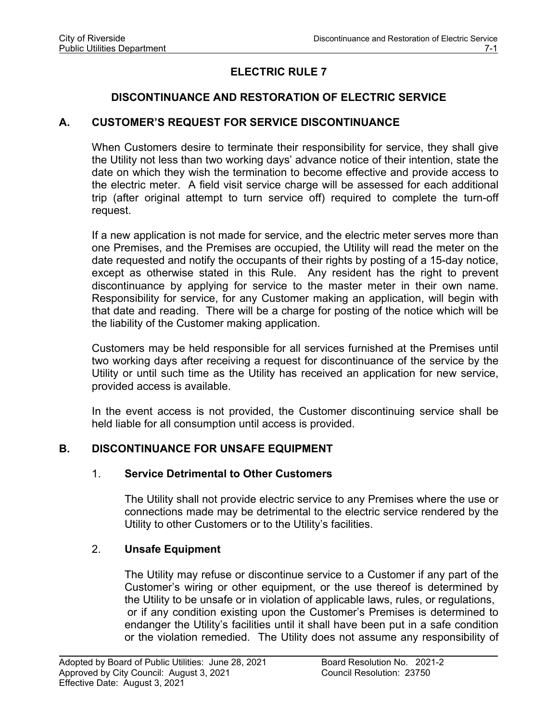# **ELECTRIC RULE 7**

# **DISCONTINUANCE AND RESTORATION OF ELECTRIC SERVICE**

# **A. CUSTOMER'S REQUEST FOR SERVICE DISCONTINUANCE**

When Customers desire to terminate their responsibility for service, they shall give the Utility not less than two working days' advance notice of their intention, state the date on which they wish the termination to become effective and provide access to the electric meter. A field visit service charge will be assessed for each additional trip (after original attempt to turn service off) required to complete the turn-off request.

If a new application is not made for service, and the electric meter serves more than one Premises, and the Premises are occupied, the Utility will read the meter on the date requested and notify the occupants of their rights by posting of a 15-day notice, except as otherwise stated in this Rule. Any resident has the right to prevent discontinuance by applying for service to the master meter in their own name. Responsibility for service, for any Customer making an application, will begin with that date and reading. There will be a charge for posting of the notice which will be the liability of the Customer making application.

Customers may be held responsible for all services furnished at the Premises until two working days after receiving a request for discontinuance of the service by the Utility or until such time as the Utility has received an application for new service, provided access is available.

In the event access is not provided, the Customer discontinuing service shall be held liable for all consumption until access is provided.

# **B. DISCONTINUANCE FOR UNSAFE EQUIPMENT**

# 1. **Service Detrimental to Other Customers**

The Utility shall not provide electric service to any Premises where the use or connections made may be detrimental to the electric service rendered by the Utility to other Customers or to the Utility's facilities.

# 2. **Unsafe Equipment**

The Utility may refuse or discontinue service to a Customer if any part of the Customer's wiring or other equipment, or the use thereof is determined by the Utility to be unsafe or in violation of applicable laws, rules, or regulations, or if any condition existing upon the Customer's Premises is determined to endanger the Utility's facilities until it shall have been put in a safe condition or the violation remedied. The Utility does not assume any responsibility of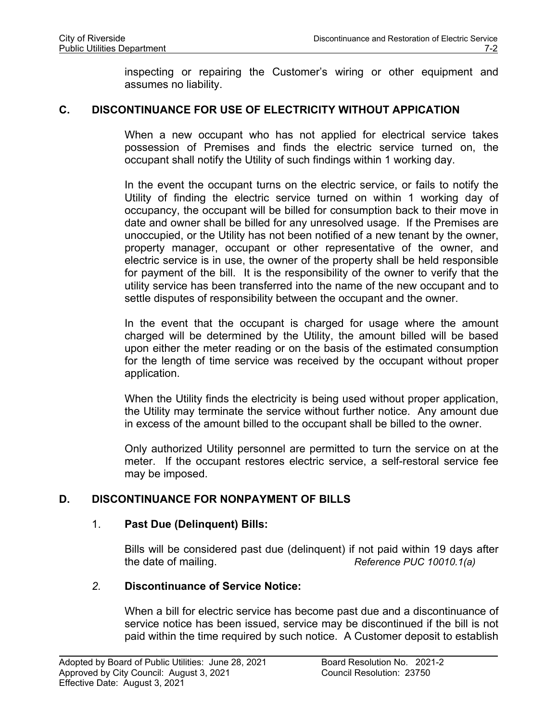inspecting or repairing the Customer's wiring or other equipment and assumes no liability.

### **C. DISCONTINUANCE FOR USE OF ELECTRICITY WITHOUT APPICATION**

When a new occupant who has not applied for electrical service takes possession of Premises and finds the electric service turned on, the occupant shall notify the Utility of such findings within 1 working day.

In the event the occupant turns on the electric service, or fails to notify the Utility of finding the electric service turned on within 1 working day of occupancy, the occupant will be billed for consumption back to their move in date and owner shall be billed for any unresolved usage. If the Premises are unoccupied, or the Utility has not been notified of a new tenant by the owner, property manager, occupant or other representative of the owner, and electric service is in use, the owner of the property shall be held responsible for payment of the bill. It is the responsibility of the owner to verify that the utility service has been transferred into the name of the new occupant and to settle disputes of responsibility between the occupant and the owner.

In the event that the occupant is charged for usage where the amount charged will be determined by the Utility, the amount billed will be based upon either the meter reading or on the basis of the estimated consumption for the length of time service was received by the occupant without proper application.

When the Utility finds the electricity is being used without proper application, the Utility may terminate the service without further notice. Any amount due in excess of the amount billed to the occupant shall be billed to the owner.

Only authorized Utility personnel are permitted to turn the service on at the meter. If the occupant restores electric service, a self-restoral service fee may be imposed.

# **D. DISCONTINUANCE FOR NONPAYMENT OF BILLS**

### 1. **Past Due (Delinquent) Bills:**

Bills will be considered past due (delinquent) if not paid within 19 days after the date of mailing. *Reference PUC 10010.1(a)*

# *2.* **Discontinuance of Service Notice:**

When a bill for electric service has become past due and a discontinuance of service notice has been issued, service may be discontinued if the bill is not paid within the time required by such notice. A Customer deposit to establish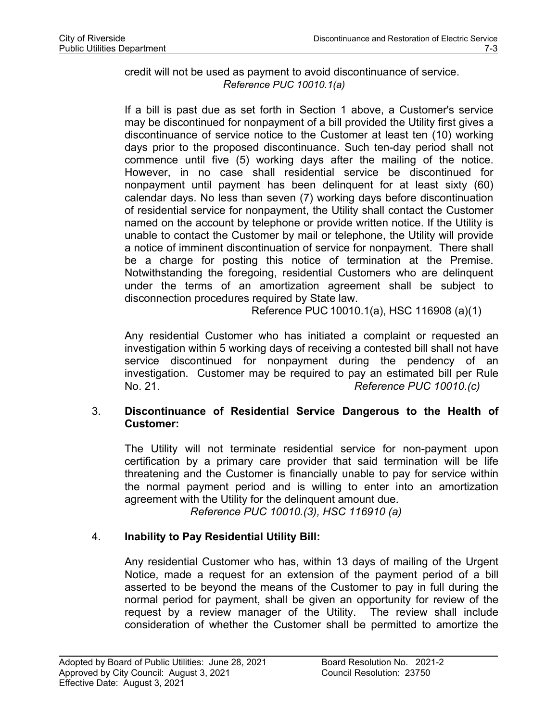### credit will not be used as payment to avoid discontinuance of service. *Reference PUC 10010.1(a)*

If a bill is past due as set forth in Section 1 above, a Customer's service may be discontinued for nonpayment of a bill provided the Utility first gives a discontinuance of service notice to the Customer at least ten (10) working days prior to the proposed discontinuance. Such ten-day period shall not commence until five (5) working days after the mailing of the notice. However, in no case shall residential service be discontinued for nonpayment until payment has been delinquent for at least sixty (60) calendar days. No less than seven (7) working days before discontinuation of residential service for nonpayment, the Utility shall contact the Customer named on the account by telephone or provide written notice. If the Utility is unable to contact the Customer by mail or telephone, the Utility will provide a notice of imminent discontinuation of service for nonpayment. There shall be a charge for posting this notice of termination at the Premise. Notwithstanding the foregoing, residential Customers who are delinquent under the terms of an amortization agreement shall be subject to disconnection procedures required by State law.

Reference PUC 10010.1(a), HSC 116908 (a)(1)

Any residential Customer who has initiated a complaint or requested an investigation within 5 working days of receiving a contested bill shall not have service discontinued for nonpayment during the pendency of an investigation. Customer may be required to pay an estimated bill per Rule No. 21. *Reference PUC 10010.(c)*

## 3. **Discontinuance of Residential Service Dangerous to the Health of Customer:**

The Utility will not terminate residential service for non-payment upon certification by a primary care provider that said termination will be life threatening and the Customer is financially unable to pay for service within the normal payment period and is willing to enter into an amortization agreement with the Utility for the delinquent amount due.

*Reference PUC 10010.(3), HSC 116910 (a)*

# 4. **Inability to Pay Residential Utility Bill:**

Any residential Customer who has, within 13 days of mailing of the Urgent Notice, made a request for an extension of the payment period of a bill asserted to be beyond the means of the Customer to pay in full during the normal period for payment, shall be given an opportunity for review of the request by a review manager of the Utility. The review shall include consideration of whether the Customer shall be permitted to amortize the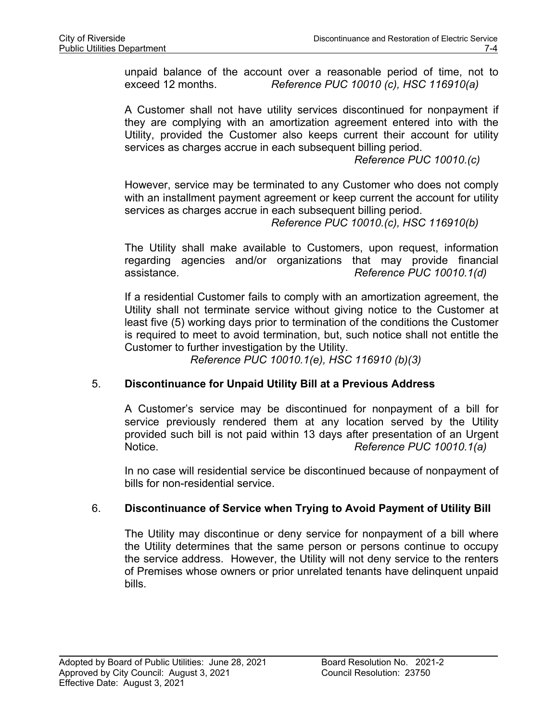unpaid balance of the account over a reasonable period of time, not to exceed 12 months. *Reference PUC 10010 (c), HSC 116910(a)*

A Customer shall not have utility services discontinued for nonpayment if they are complying with an amortization agreement entered into with the Utility, provided the Customer also keeps current their account for utility services as charges accrue in each subsequent billing period.

*Reference PUC 10010.(c)*

However, service may be terminated to any Customer who does not comply with an installment payment agreement or keep current the account for utility services as charges accrue in each subsequent billing period.

*Reference PUC 10010.(c), HSC 116910(b)*

The Utility shall make available to Customers, upon request, information regarding agencies and/or organizations that may provide financial assistance. *Reference PUC 10010.1(d)*

If a residential Customer fails to comply with an amortization agreement, the Utility shall not terminate service without giving notice to the Customer at least five (5) working days prior to termination of the conditions the Customer is required to meet to avoid termination, but, such notice shall not entitle the Customer to further investigation by the Utility.

*Reference PUC 10010.1(e), HSC 116910 (b)(3)*

### 5. **Discontinuance for Unpaid Utility Bill at a Previous Address**

A Customer's service may be discontinued for nonpayment of a bill for service previously rendered them at any location served by the Utility provided such bill is not paid within 13 days after presentation of an Urgent Notice. *Reference PUC 10010.1(a)*

In no case will residential service be discontinued because of nonpayment of bills for non-residential service.

### 6. **Discontinuance of Service when Trying to Avoid Payment of Utility Bill**

The Utility may discontinue or deny service for nonpayment of a bill where the Utility determines that the same person or persons continue to occupy the service address. However, the Utility will not deny service to the renters of Premises whose owners or prior unrelated tenants have delinquent unpaid bills.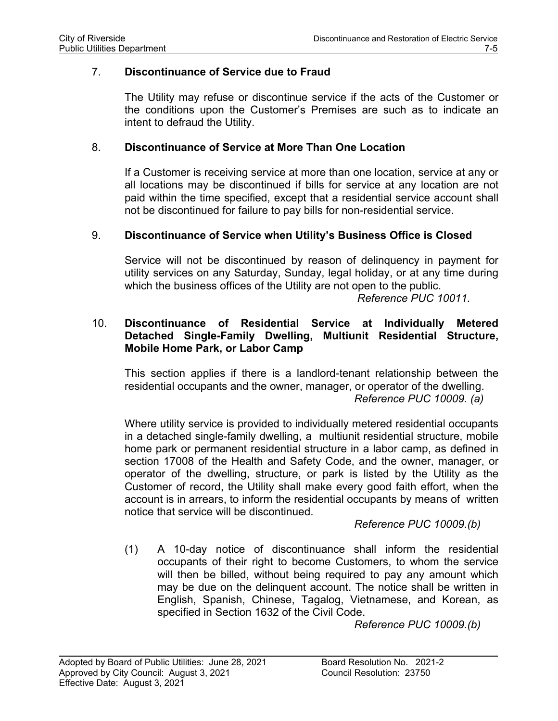### 7. **Discontinuance of Service due to Fraud**

The Utility may refuse or discontinue service if the acts of the Customer or the conditions upon the Customer's Premises are such as to indicate an intent to defraud the Utility.

### 8. **Discontinuance of Service at More Than One Location**

If a Customer is receiving service at more than one location, service at any or all locations may be discontinued if bills for service at any location are not paid within the time specified, except that a residential service account shall not be discontinued for failure to pay bills for non-residential service.

## 9. **Discontinuance of Service when Utility's Business Office is Closed**

Service will not be discontinued by reason of delinquency in payment for utility services on any Saturday, Sunday, legal holiday, or at any time during which the business offices of the Utility are not open to the public.

*Reference PUC 10011.*

## 10. **Discontinuance of Residential Service at Individually Metered Detached Single-Family Dwelling, Multiunit Residential Structure, Mobile Home Park, or Labor Camp**

This section applies if there is a landlord-tenant relationship between the residential occupants and the owner, manager, or operator of the dwelling. *Reference PUC 10009. (a)*

Where utility service is provided to individually metered residential occupants in a detached single-family dwelling, a multiunit residential structure, mobile home park or permanent residential structure in a labor camp, as defined in section 17008 of the Health and Safety Code, and the owner, manager, or operator of the dwelling, structure, or park is listed by the Utility as the Customer of record, the Utility shall make every good faith effort, when the account is in arrears, to inform the residential occupants by means of written notice that service will be discontinued.

*Reference PUC 10009.(b)*

(1) A 10-day notice of discontinuance shall inform the residential occupants of their right to become Customers, to whom the service will then be billed, without being required to pay any amount which may be due on the delinquent account. The notice shall be written in English, Spanish, Chinese, Tagalog, Vietnamese, and Korean, as specified in Section 1632 of the Civil Code.

*Reference PUC 10009.(b)*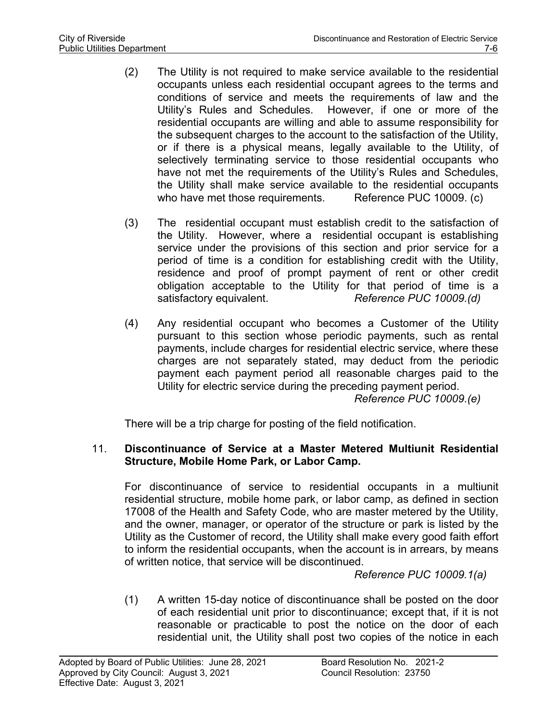- (2) The Utility is not required to make service available to the residential occupants unless each residential occupant agrees to the terms and conditions of service and meets the requirements of law and the Utility's Rules and Schedules. However, if one or more of the residential occupants are willing and able to assume responsibility for the subsequent charges to the account to the satisfaction of the Utility, or if there is a physical means, legally available to the Utility, of selectively terminating service to those residential occupants who have not met the requirements of the Utility's Rules and Schedules, the Utility shall make service available to the residential occupants who have met those requirements. Reference PUC 10009. (c)
- (3) The residential occupant must establish credit to the satisfaction of the Utility. However, where a residential occupant is establishing service under the provisions of this section and prior service for a period of time is a condition for establishing credit with the Utility, residence and proof of prompt payment of rent or other credit obligation acceptable to the Utility for that period of time is a satisfactory equivalent. *Reference PUC 10009.(d)*
- (4) Any residential occupant who becomes a Customer of the Utility pursuant to this section whose periodic payments, such as rental payments, include charges for residential electric service, where these charges are not separately stated, may deduct from the periodic payment each payment period all reasonable charges paid to the Utility for electric service during the preceding payment period. *Reference PUC 10009.(e)*

There will be a trip charge for posting of the field notification.

# 11. **Discontinuance of Service at a Master Metered Multiunit Residential Structure, Mobile Home Park, or Labor Camp.**

For discontinuance of service to residential occupants in a multiunit residential structure, mobile home park, or labor camp, as defined in section 17008 of the Health and Safety Code, who are master metered by the Utility, and the owner, manager, or operator of the structure or park is listed by the Utility as the Customer of record, the Utility shall make every good faith effort to inform the residential occupants, when the account is in arrears, by means of written notice, that service will be discontinued.

*Reference PUC 10009.1(a)*

(1) A written 15-day notice of discontinuance shall be posted on the door of each residential unit prior to discontinuance; except that, if it is not reasonable or practicable to post the notice on the door of each residential unit, the Utility shall post two copies of the notice in each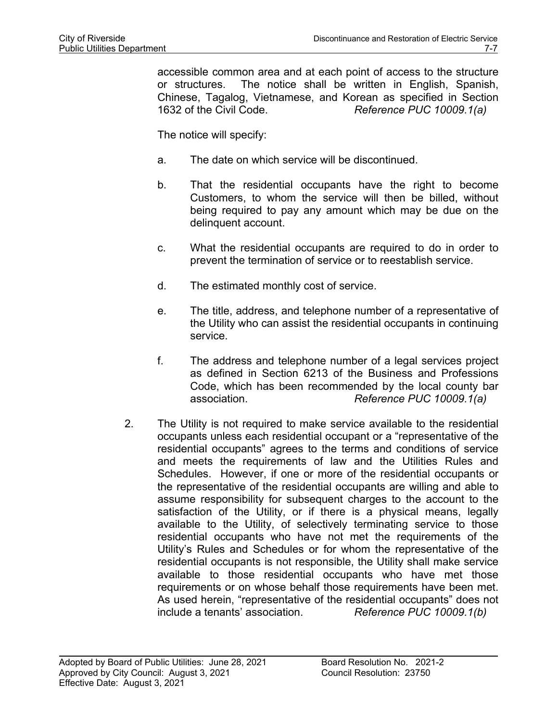accessible common area and at each point of access to the structure or structures. The notice shall be written in English, Spanish, Chinese, Tagalog, Vietnamese, and Korean as specified in Section 1632 of the Civil Code. *Reference PUC 10009.1(a)*

The notice will specify:

- a. The date on which service will be discontinued.
- b. That the residential occupants have the right to become Customers, to whom the service will then be billed, without being required to pay any amount which may be due on the delinquent account.
- c. What the residential occupants are required to do in order to prevent the termination of service or to reestablish service.
- d. The estimated monthly cost of service.
- e. The title, address, and telephone number of a representative of the Utility who can assist the residential occupants in continuing service.
- f. The address and telephone number of a legal services project as defined in Section 6213 of the Business and Professions Code, which has been recommended by the local county bar association. *Reference PUC 10009.1(a)*
- 2. The Utility is not required to make service available to the residential occupants unless each residential occupant or a "representative of the residential occupants" agrees to the terms and conditions of service and meets the requirements of law and the Utilities Rules and Schedules. However, if one or more of the residential occupants or the representative of the residential occupants are willing and able to assume responsibility for subsequent charges to the account to the satisfaction of the Utility, or if there is a physical means, legally available to the Utility, of selectively terminating service to those residential occupants who have not met the requirements of the Utility's Rules and Schedules or for whom the representative of the residential occupants is not responsible, the Utility shall make service available to those residential occupants who have met those requirements or on whose behalf those requirements have been met. As used herein, "representative of the residential occupants" does not include a tenants' association. *Reference PUC 10009.1(b)*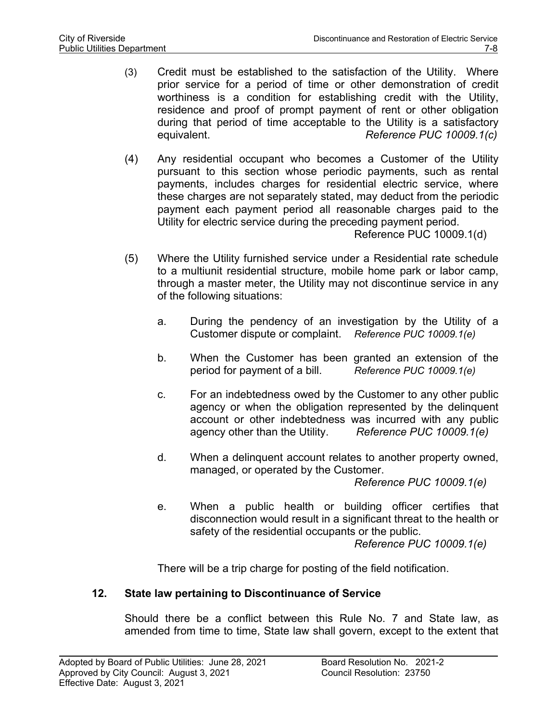- (3) Credit must be established to the satisfaction of the Utility. Where prior service for a period of time or other demonstration of credit worthiness is a condition for establishing credit with the Utility, residence and proof of prompt payment of rent or other obligation during that period of time acceptable to the Utility is a satisfactory equivalent. *Reference PUC 10009.1(c)*
- (4) Any residential occupant who becomes a Customer of the Utility pursuant to this section whose periodic payments, such as rental payments, includes charges for residential electric service, where these charges are not separately stated, may deduct from the periodic payment each payment period all reasonable charges paid to the Utility for electric service during the preceding payment period.

Reference PUC 10009.1(d)

- (5) Where the Utility furnished service under a Residential rate schedule to a multiunit residential structure, mobile home park or labor camp, through a master meter, the Utility may not discontinue service in any of the following situations:
	- a. During the pendency of an investigation by the Utility of a Customer dispute or complaint. *Reference PUC 10009.1(e)*
	- b. When the Customer has been granted an extension of the period for payment of a bill. *Reference PUC 10009.1(e)*
	- c. For an indebtedness owed by the Customer to any other public agency or when the obligation represented by the delinquent account or other indebtedness was incurred with any public<br>agency other than the Utility. Reference PUC 10009.1(e) agency other than the Utility.
	- d. When a delinquent account relates to another property owned, managed, or operated by the Customer.

*Reference PUC 10009.1(e)*

e. When a public health or building officer certifies that disconnection would result in a significant threat to the health or safety of the residential occupants or the public. *Reference PUC 10009.1(e)*

There will be a trip charge for posting of the field notification.

# **12. State law pertaining to Discontinuance of Service**

Should there be a conflict between this Rule No. 7 and State law, as amended from time to time, State law shall govern, except to the extent that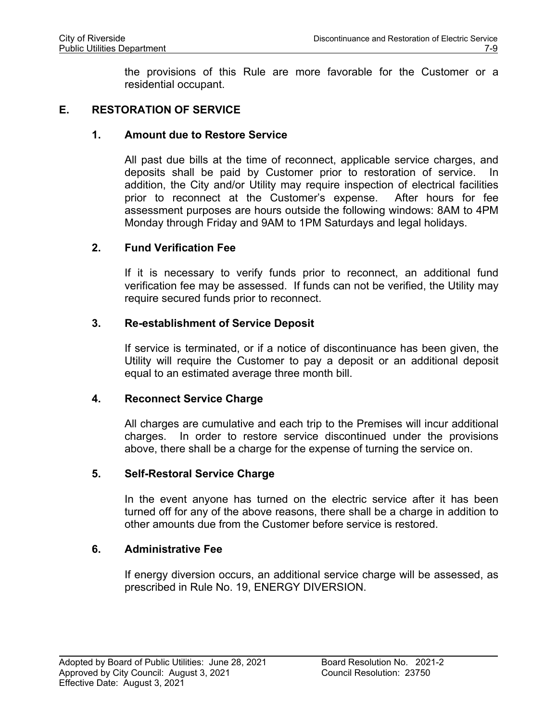the provisions of this Rule are more favorable for the Customer or a residential occupant.

### **E. RESTORATION OF SERVICE**

### **1. Amount due to Restore Service**

All past due bills at the time of reconnect, applicable service charges, and deposits shall be paid by Customer prior to restoration of service. In addition, the City and/or Utility may require inspection of electrical facilities prior to reconnect at the Customer's expense. After hours for fee assessment purposes are hours outside the following windows: 8AM to 4PM Monday through Friday and 9AM to 1PM Saturdays and legal holidays.

### **2. Fund Verification Fee**

If it is necessary to verify funds prior to reconnect, an additional fund verification fee may be assessed. If funds can not be verified, the Utility may require secured funds prior to reconnect.

## **3. Re-establishment of Service Deposit**

If service is terminated, or if a notice of discontinuance has been given, the Utility will require the Customer to pay a deposit or an additional deposit equal to an estimated average three month bill.

### **4. Reconnect Service Charge**

All charges are cumulative and each trip to the Premises will incur additional charges. In order to restore service discontinued under the provisions above, there shall be a charge for the expense of turning the service on.

### **5. Self-Restoral Service Charge**

In the event anyone has turned on the electric service after it has been turned off for any of the above reasons, there shall be a charge in addition to other amounts due from the Customer before service is restored.

### **6. Administrative Fee**

If energy diversion occurs, an additional service charge will be assessed, as prescribed in Rule No. 19, ENERGY DIVERSION.